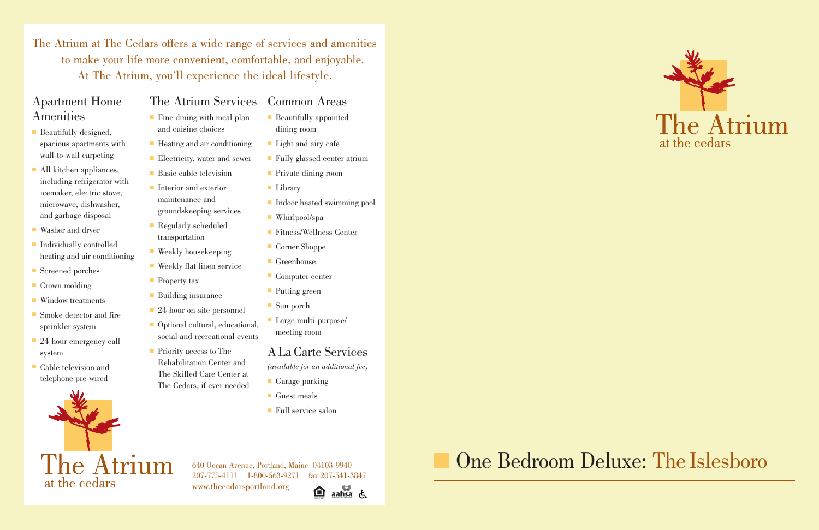## Apartment Home Amenities

- Beautifully designed, spacious apartments with wall-to-wall carpeting
- **All kitchen appliances,** including refrigerator with icemaker, electric stove, microwave, dishwasher, and garbage disposal
- Washer and dryer
- Individually controlled heating and air conditioning
- Screened porches
- Crown molding
- **Window treatments**
- Smoke detector and fire sprinkler system
- 24-hour emergency call system
- Cable television and telephone pre-wired



## The Atrium Services Common Areas

- $\blacksquare$  Fine dining with meal plan and cuisine choices
- Heating and air conditioning
- Electricity, water and sewer
- Basic cable television
- Interior and exterior maintenance and groundskeeping services
- Regularly scheduled transportation
- Weekly housekeeping
- Weekly flat linen service
- Property tax
- Building insurance
- 24-hour on-site personnel
- Optional cultural, educational, social and recreational events
- $\blacksquare$  Priority access to The Rehabilitation Center and The Skilled Care Center at The Cedars, if ever needed
- Guest meals
- Full service salon

■ Garage parking

■ Beautifully appointed

■ Light and airy cafe

■ Private dining room

■ Fully glassed center atrium

www.thecedarsportland.org 臼



dining room

■ Whirlpool/spa

■ Corner Shoppe

■ Computer center

■ Large multi-purpose/

� Indoor heated swimming pool

■ Fitness/Wellness Center

meeting room

**Greenhouse** 

■ Putting green

■ Sun porch

■ Library

ALa Carte Services

*(available for an additional fee)*

640 Ocean Avenue, Portland, Maine 04103-9940 207-775-4111 1-800-563-9271 fax 207-541-3847

The Atrium at The Cedars offers a wide range of services and amenities to make your life more convenient, comfortable, and enjoyable. At The Atrium, you'll experience the ideal lifestyle.

## One Bedroom Deluxe: The Islesboro